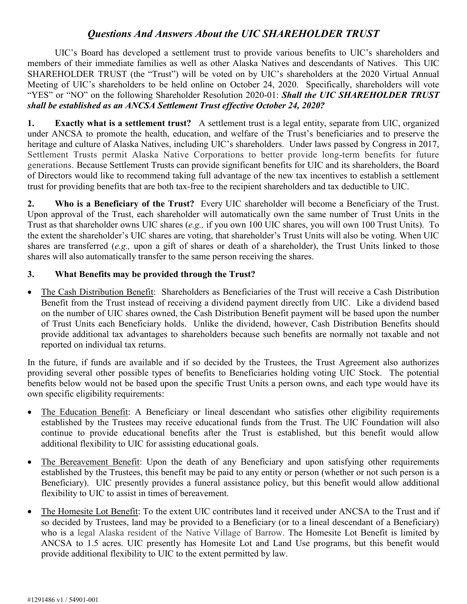## *Questions And Answers About the UIC SHAREHOLDER TRUST*

UIC's Board has developed a settlement trust to provide various benefits to UIC's shareholders and members of their immediate families as well as other Alaska Natives and descendants of Natives. This UIC SHAREHOLDER TRUST (the "Trust") will be voted on by UIC's shareholders at the 2020 Virtual Annual Meeting of UIC's shareholders to be held online on October 24, 2020. Specifically, shareholders will vote "YES" or "NO" on the following Shareholder Resolution 2020-01: *Shall the UIC SHAREHOLDER TRUST shall be established as an ANCSA Settlement Trust effective October 24, 2020?*

**1. Exactly what is a settlement trust?** A settlement trust is a legal entity, separate from UIC, organized under ANCSA to promote the health, education, and welfare of the Trust's beneficiaries and to preserve the heritage and culture of Alaska Natives, including UIC's shareholders. Under laws passed by Congress in 2017, Settlement Trusts permit Alaska Native Corporations to better provide long-term benefits for future generations. Because Settlement Trusts can provide significant benefits for UIC and its shareholders, the Board of Directors would like to recommend taking full advantage of the new tax incentives to establish a settlement trust for providing benefits that are both tax-free to the recipient shareholders and tax deductible to UIC.

**2. Who is a Beneficiary of the Trust?** Every UIC shareholder will become a Beneficiary of the Trust. Upon approval of the Trust, each shareholder will automatically own the same number of Trust Units in the Trust as that shareholder owns UIC shares (*e.g.,* if you own 100 UIC shares, you will own 100 Trust Units). To the extent the shareholder's UIC shares are voting, that shareholder's Trust Units will also be voting. When UIC shares are transferred (*e.g.,* upon a gift of shares or death of a shareholder), the Trust Units linked to those shares will also automatically transfer to the same person receiving the shares.

## **3. What Benefits may be provided through the Trust?**

• The Cash Distribution Benefit: Shareholders as Beneficiaries of the Trust will receive a Cash Distribution Benefit from the Trust instead of receiving a dividend payment directly from UIC. Like a dividend based on the number of UIC shares owned, the Cash Distribution Benefit payment will be based upon the number of Trust Units each Beneficiary holds. Unlike the dividend, however, Cash Distribution Benefits should provide additional tax advantages to shareholders because such benefits are normally not taxable and not reported on individual tax returns.

In the future, if funds are available and if so decided by the Trustees, the Trust Agreement also authorizes providing several other possible types of benefits to Beneficiaries holding voting UIC Stock. The potential benefits below would not be based upon the specific Trust Units a person owns, and each type would have its own specific eligibility requirements:

- The Education Benefit: A Beneficiary or lineal descendant who satisfies other eligibility requirements established by the Trustees may receive educational funds from the Trust. The UIC Foundation will also continue to provide educational benefits after the Trust is established, but this benefit would allow additional flexibility to UIC for assisting educational goals.
- The Bereavement Benefit: Upon the death of any Beneficiary and upon satisfying other requirements established by the Trustees, this benefit may be paid to any entity or person (whether or not such person is a Beneficiary). UIC presently provides a funeral assistance policy, but this benefit would allow additional flexibility to UIC to assist in times of bereavement.
- The Homesite Lot Benefit: To the extent UIC contributes land it received under ANCSA to the Trust and if so decided by Trustees, land may be provided to a Beneficiary (or to a lineal descendant of a Beneficiary) who is a legal Alaska resident of the Native Village of Barrow. The Homesite Lot Benefit is limited by ANCSA to 1.5 acres. UIC presently has Homesite Lot and Land Use programs, but this benefit would provide additional flexibility to UIC to the extent permitted by law.